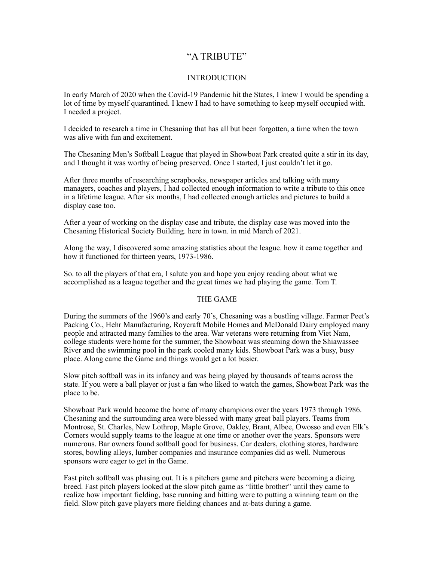# "A TRIBUTE"

# **INTRODUCTION**

In early March of 2020 when the Covid-19 Pandemic hit the States, I knew I would be spending a lot of time by myself quarantined. I knew I had to have something to keep myself occupied with. I needed a project.

I decided to research a time in Chesaning that has all but been forgotten, a time when the town was alive with fun and excitement.

The Chesaning Men's Softball League that played in Showboat Park created quite a stir in its day, and I thought it was worthy of being preserved. Once I started, I just couldn't let it go.

After three months of researching scrapbooks, newspaper articles and talking with many managers, coaches and players, I had collected enough information to write a tribute to this once in a lifetime league. After six months, I had collected enough articles and pictures to build a display case too.

After a year of working on the display case and tribute, the display case was moved into the Chesaning Historical Society Building. here in town. in mid March of 2021.

Along the way, I discovered some amazing statistics about the league. how it came together and how it functioned for thirteen years, 1973-1986.

So. to all the players of that era, I salute you and hope you enjoy reading about what we accomplished as a league together and the great times we had playing the game. Tom T.

### THE GAME

During the summers of the 1960's and early 70's, Chesaning was a bustling village. Farmer Peet's Packing Co., Hehr Manufacturing, Roycraft Mobile Homes and McDonald Dairy employed many people and attracted many families to the area. War veterans were returning from Viet Nam, college students were home for the summer, the Showboat was steaming down the Shiawassee River and the swimming pool in the park cooled many kids. Showboat Park was a busy, busy place. Along came the Game and things would get a lot busier.

Slow pitch softball was in its infancy and was being played by thousands of teams across the state. If you were a ball player or just a fan who liked to watch the games, Showboat Park was the place to be.

Showboat Park would become the home of many champions over the years 1973 through 1986. Chesaning and the surrounding area were blessed with many great ball players. Teams from Montrose, St. Charles, New Lothrop, Maple Grove, Oakley, Brant, Albee, Owosso and even Elk's Corners would supply teams to the league at one time or another over the years. Sponsors were numerous. Bar owners found softball good for business. Car dealers, clothing stores, hardware stores, bowling alleys, lumber companies and insurance companies did as well. Numerous sponsors were eager to get in the Game.

Fast pitch softball was phasing out. It is a pitchers game and pitchers were becoming a dieing breed. Fast pitch players looked at the slow pitch game as "little brother" until they came to realize how important fielding, base running and hitting were to putting a winning team on the field. Slow pitch gave players more fielding chances and at-bats during a game.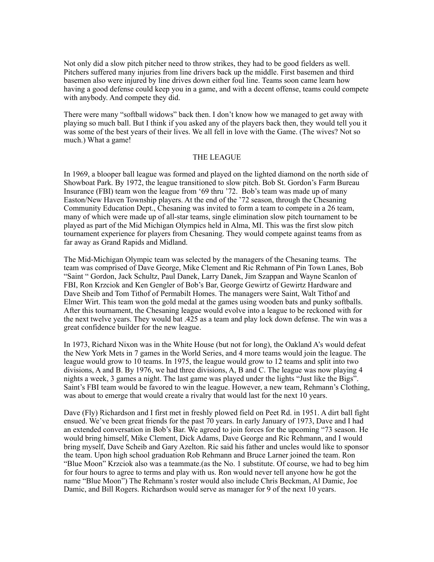Not only did a slow pitch pitcher need to throw strikes, they had to be good fielders as well. Pitchers suffered many injuries from line drivers back up the middle. First basemen and third basemen also were injured by line drives down either foul line. Teams soon came learn how having a good defense could keep you in a game, and with a decent offense, teams could compete with anybody. And compete they did.

There were many "softball widows" back then. I don't know how we managed to get away with playing so much ball. But I think if you asked any of the players back then, they would tell you it was some of the best years of their lives. We all fell in love with the Game. (The wives? Not so much.) What a game!

#### THE LEAGUE

In 1969, a blooper ball league was formed and played on the lighted diamond on the north side of Showboat Park. By 1972, the league transitioned to slow pitch. Bob St. Gordon's Farm Bureau Insurance (FBI) team won the league from '69 thru '72. Bob's team was made up of many Easton/New Haven Township players. At the end of the '72 season, through the Chesaning Community Education Dept., Chesaning was invited to form a team to compete in a 26 team, many of which were made up of all-star teams, single elimination slow pitch tournament to be played as part of the Mid Michigan Olympics held in Alma, MI. This was the first slow pitch tournament experience for players from Chesaning. They would compete against teams from as far away as Grand Rapids and Midland.

The Mid-Michigan Olympic team was selected by the managers of the Chesaning teams. The team was comprised of Dave George, Mike Clement and Ric Rehmann of Pin Town Lanes, Bob "Saint " Gordon, Jack Schultz, Paul Danek, Larry Danek, Jim Szappan and Wayne Scanlon of FBI, Ron Krzciok and Ken Gengler of Bob's Bar, George Gewirtz of Gewirtz Hardware and Dave Sheib and Tom Tithof of Permabilt Homes. The managers were Saint, Walt Tithof and Elmer Wirt. This team won the gold medal at the games using wooden bats and punky softballs. After this tournament, the Chesaning league would evolve into a league to be reckoned with for the next twelve years. They would bat .425 as a team and play lock down defense. The win was a great confidence builder for the new league.

In 1973, Richard Nixon was in the White House (but not for long), the Oakland A's would defeat the New York Mets in 7 games in the World Series, and 4 more teams would join the league. The league would grow to 10 teams. In 1975, the league would grow to 12 teams and split into two divisions, A and B. By 1976, we had three divisions, A, B and C. The league was now playing 4 nights a week, 3 games a night. The last game was played under the lights "Just like the Bigs". Saint's FBI team would be favored to win the league. However, a new team, Rehmann's Clothing, was about to emerge that would create a rivalry that would last for the next 10 years.

Dave (Fly) Richardson and I first met in freshly plowed field on Peet Rd. in 1951. A dirt ball fight ensued. We've been great friends for the past 70 years. In early January of 1973, Dave and I had an extended conversation in Bob's Bar. We agreed to join forces for the upcoming "73 season. He would bring himself, Mike Clement, Dick Adams, Dave George and Ric Rehmann, and I would bring myself, Dave Scheib and Gary Azelton. Ric said his father and uncles would like to sponsor the team. Upon high school graduation Rob Rehmann and Bruce Larner joined the team. Ron "Blue Moon" Krzciok also was a teammate.(as the No. 1 substitute. Of course, we had to beg him for four hours to agree to terms and play with us. Ron would never tell anyone how he got the name "Blue Moon") The Rehmann's roster would also include Chris Beckman, Al Damic, Joe Damic, and Bill Rogers. Richardson would serve as manager for 9 of the next 10 years.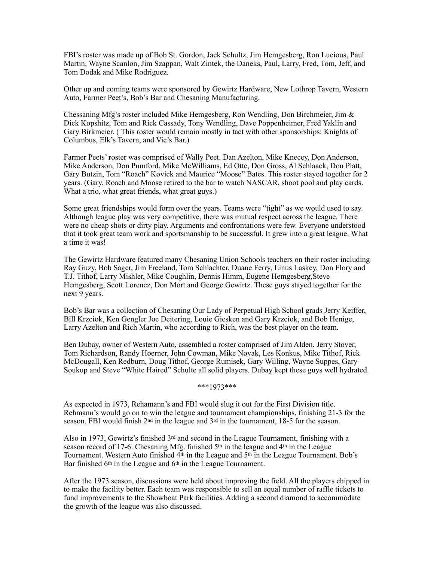FBI's roster was made up of Bob St. Gordon, Jack Schultz, Jim Hemgesberg, Ron Lucious, Paul Martin, Wayne Scanlon, Jim Szappan, Walt Zintek, the Daneks, Paul, Larry, Fred, Tom, Jeff, and Tom Dodak and Mike Rodriguez.

Other up and coming teams were sponsored by Gewirtz Hardware, New Lothrop Tavern, Western Auto, Farmer Peet's, Bob's Bar and Chesaning Manufacturing.

Chessaning Mfg's roster included Mike Hemgesberg, Ron Wendling, Don Birchmeier, Jim & Dick Kopshitz, Tom and Rick Cassady, Tony Wendling, Dave Poppenheimer, Fred Yaklin and Gary Birkmeier. ( This roster would remain mostly in tact with other sponsorships: Knights of Columbus, Elk's Tavern, and Vic's Bar.)

Farmer Peets' roster was comprised of Wally Peet. Dan Azelton, Mike Knecey, Don Anderson, Mike Anderson, Don Pumford, Mike McWilliams, Ed Otte, Don Gross, Al Schlaack, Don Platt, Gary Butzin, Tom "Roach" Kovick and Maurice "Moose" Bates. This roster stayed together for 2 years. (Gary, Roach and Moose retired to the bar to watch NASCAR, shoot pool and play cards. What a trio, what great friends, what great guys.)

Some great friendships would form over the years. Teams were "tight" as we would used to say. Although league play was very competitive, there was mutual respect across the league. There were no cheap shots or dirty play. Arguments and confrontations were few. Everyone understood that it took great team work and sportsmanship to be successful. It grew into a great league. What a time it was!

The Gewirtz Hardware featured many Chesaning Union Schools teachers on their roster including Ray Guzy, Bob Sager, Jim Freeland, Tom Schlachter, Duane Ferry, Linus Laskey, Don Flory and T.J. Tithof, Larry Mishler, Mike Coughlin, Dennis Himm, Eugene Hemgesberg,Steve Hemgesberg, Scott Lorencz, Don Mort and George Gewirtz. These guys stayed together for the next 9 years.

Bob's Bar was a collection of Chesaning Our Lady of Perpetual High School grads Jerry Keiffer, Bill Krzciok, Ken Gengler Joe Deitering, Louie Giesken and Gary Krzciok, and Bob Henige, Larry Azelton and Rich Martin, who according to Rich, was the best player on the team.

Ben Dubay, owner of Western Auto, assembled a roster comprised of Jim Alden, Jerry Stover, Tom Richardson, Randy Hoerner, John Cowman, Mike Novak, Les Konkus, Mike Tithof, Rick McDougall, Ken Redburn, Doug Tithof, George Rumisek, Gary Willing, Wayne Suppes, Gary Soukup and Steve "White Haired" Schulte all solid players. Dubay kept these guys well hydrated.

\*\*\*1973\*\*\*

As expected in 1973, Rehamann's and FBI would slug it out for the First Division title. Rehmann's would go on to win the league and tournament championships, finishing 21-3 for the season. FBI would finish  $2<sup>nd</sup>$  in the league and  $3<sup>rd</sup>$  in the tournament, 18-5 for the season.

Also in 1973, Gewirtz's finished  $3<sup>rd</sup>$  and second in the League Tournament, finishing with a season record of 17-6. Chesaning Mfg. finished  $5<sup>th</sup>$  in the league and  $4<sup>th</sup>$  in the League Tournament. Western Auto finished 4<sup>th</sup> in the League and 5<sup>th</sup> in the League Tournament. Bob's Bar finished 6<sup>th</sup> in the League and 6<sup>th</sup> in the League Tournament.

After the 1973 season, discussions were held about improving the field. All the players chipped in to make the facility better. Each team was responsible to sell an equal number of raffle tickets to fund improvements to the Showboat Park facilities. Adding a second diamond to accommodate the growth of the league was also discussed.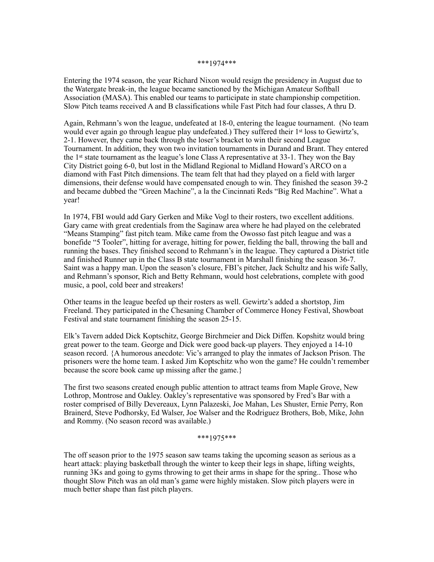#### \*\*\*1974\*\*\*

Entering the 1974 season, the year Richard Nixon would resign the presidency in August due to the Watergate break-in, the league became sanctioned by the Michigan Amateur Softball Association (MASA). This enabled our teams to participate in state championship competition. Slow Pitch teams received A and B classifications while Fast Pitch had four classes, A thru D.

Again, Rehmann's won the league, undefeated at 18-0, entering the league tournament. (No team would ever again go through league play undefeated.) They suffered their 1<sup>st</sup> loss to Gewirtz's, 2-1. However, they came back through the loser's bracket to win their second League Tournament. In addition, they won two invitation tournaments in Durand and Brant. They entered the 1st state tournament as the league's lone Class A representative at 33-1. They won the Bay City District going 6-0, but lost in the Midland Regional to Midland Howard's ARCO on a diamond with Fast Pitch dimensions. The team felt that had they played on a field with larger dimensions, their defense would have compensated enough to win. They finished the season 39-2 and became dubbed the "Green Machine", a la the Cincinnati Reds "Big Red Machine". What a year!

In 1974, FBI would add Gary Gerken and Mike Vogl to their rosters, two excellent additions. Gary came with great credentials from the Saginaw area where he had played on the celebrated "Means Stamping" fast pitch team. Mike came from the Owosso fast pitch league and was a bonefide "5 Tooler", hitting for average, hitting for power, fielding the ball, throwing the ball and running the bases. They finished second to Rehmann's in the league. They captured a District title and finished Runner up in the Class B state tournament in Marshall finishing the season 36-7. Saint was a happy man. Upon the season's closure, FBI's pitcher, Jack Schultz and his wife Sally, and Rehmann's sponsor, Rich and Betty Rehmann, would host celebrations, complete with good music, a pool, cold beer and streakers!

Other teams in the league beefed up their rosters as well. Gewirtz's added a shortstop, Jim Freeland. They participated in the Chesaning Chamber of Commerce Honey Festival, Showboat Festival and state tournament finishing the season 25-15.

Elk's Tavern added Dick Koptschitz, George Birchmeier and Dick Diffen. Kopshitz would bring great power to the team. George and Dick were good back-up players. They enjoyed a 14-10 season record. {A humorous anecdote: Vic's arranged to play the inmates of Jackson Prison. The prisoners were the home team. I asked Jim Koptschitz who won the game? He couldn't remember because the score book came up missing after the game.}

The first two seasons created enough public attention to attract teams from Maple Grove, New Lothrop, Montrose and Oakley. Oakley's representative was sponsored by Fred's Bar with a roster comprised of Billy Devereaux, Lynn Palazeski, Joe Mahan, Les Shuster, Ernie Perry, Ron Brainerd, Steve Podhorsky, Ed Walser, Joe Walser and the Rodriguez Brothers, Bob, Mike, John and Rommy. (No season record was available.)

\*\*\*1975\*\*\*

The off season prior to the 1975 season saw teams taking the upcoming season as serious as a heart attack: playing basketball through the winter to keep their legs in shape, lifting weights, running 3Ks and going to gyms throwing to get their arms in shape for the spring.. Those who thought Slow Pitch was an old man's game were highly mistaken. Slow pitch players were in much better shape than fast pitch players.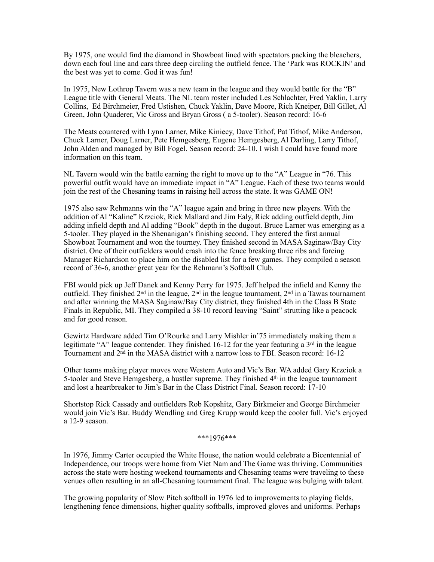By 1975, one would find the diamond in Showboat lined with spectators packing the bleachers, down each foul line and cars three deep circling the outfield fence. The 'Park was ROCKIN' and the best was yet to come. God it was fun!

In 1975, New Lothrop Tavern was a new team in the league and they would battle for the "B" League title with General Meats. The NL team roster included Les Schlachter, Fred Yaklin, Larry Collins, Ed Birchmeier, Fred Ustishen, Chuck Yaklin, Dave Moore, Rich Kneiper, Bill Gillet, Al Green, John Quaderer, Vic Gross and Bryan Gross ( a 5-tooler). Season record: 16-6

The Meats countered with Lynn Larner, Mike Kiniecy, Dave Tithof, Pat Tithof, Mike Anderson, Chuck Larner, Doug Larner, Pete Hemgesberg, Eugene Hemgesberg, Al Darling, Larry Tithof, John Alden and managed by Bill Fogel. Season record: 24-10. I wish I could have found more information on this team.

NL Tavern would win the battle earning the right to move up to the "A" League in "76. This powerful outfit would have an immediate impact in "A" League. Each of these two teams would join the rest of the Chesaning teams in raising hell across the state. It was GAME ON!

1975 also saw Rehmanns win the "A" league again and bring in three new players. With the addition of Al "Kaline" Krzciok, Rick Mallard and Jim Ealy, Rick adding outfield depth, Jim adding infield depth and Al adding "Book" depth in the dugout. Bruce Larner was emerging as a 5-tooler. They played in the Shenanigan's finishing second. They entered the first annual Showboat Tournament and won the tourney. They finished second in MASA Saginaw/Bay City district. One of their outfielders would crash into the fence breaking three ribs and forcing Manager Richardson to place him on the disabled list for a few games. They compiled a season record of 36-6, another great year for the Rehmann's Softball Club.

FBI would pick up Jeff Danek and Kenny Perry for 1975. Jeff helped the infield and Kenny the outfield. They finished 2nd in the league, 2nd in the league tournament, 2nd in a Tawas tournament and after winning the MASA Saginaw/Bay City district, they finished 4th in the Class B State Finals in Republic, MI. They compiled a 38-10 record leaving "Saint" strutting like a peacock and for good reason.

Gewirtz Hardware added Tim O'Rourke and Larry Mishler in'75 immediately making them a legitimate "A" league contender. They finished  $16-12$  for the year featuring a  $3<sup>rd</sup>$  in the league Tournament and  $2<sup>nd</sup>$  in the MASA district with a narrow loss to FBI. Season record: 16-12

Other teams making player moves were Western Auto and Vic's Bar. WA added Gary Krzciok a 5-tooler and Steve Hemgesberg, a hustler supreme. They finished  $4<sup>th</sup>$  in the league tournament and lost a heartbreaker to Jim's Bar in the Class District Final. Season record: 17-10

Shortstop Rick Cassady and outfielders Rob Kopshitz, Gary Birkmeier and George Birchmeier would join Vic's Bar. Buddy Wendling and Greg Krupp would keep the cooler full. Vic's enjoyed a 12-9 season.

\*\*\*1976\*\*\*

In 1976, Jimmy Carter occupied the White House, the nation would celebrate a Bicentennial of Independence, our troops were home from Viet Nam and The Game was thriving. Communities across the state were hosting weekend tournaments and Chesaning teams were traveling to these venues often resulting in an all-Chesaning tournament final. The league was bulging with talent.

The growing popularity of Slow Pitch softball in 1976 led to improvements to playing fields, lengthening fence dimensions, higher quality softballs, improved gloves and uniforms. Perhaps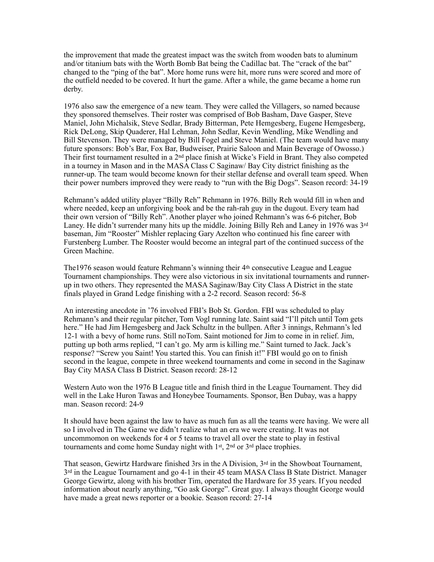the improvement that made the greatest impact was the switch from wooden bats to aluminum and/or titanium bats with the Worth Bomb Bat being the Cadillac bat. The "crack of the bat" changed to the "ping of the bat". More home runs were hit, more runs were scored and more of the outfield needed to be covered. It hurt the game. After a while, the game became a home run derby.

1976 also saw the emergence of a new team. They were called the Villagers, so named because they sponsored themselves. Their roster was comprised of Bob Basham, Dave Gasper, Steve Maniel, John Michalsik, Steve Sedlar, Brady Bitterman, Pete Hemgesberg, Eugene Hemgesberg, Rick DeLong, Skip Quaderer, Hal Lehman, John Sedlar, Kevin Wendling, Mike Wendling and Bill Stevenson. They were managed by Bill Fogel and Steve Maniel. (The team would have many future sponsors: Bob's Bar, Fox Bar, Budweiser, Prairie Saloon and Main Beverage of Owosso.) Their first tournament resulted in a  $2<sup>nd</sup>$  place finish at Wicke's Field in Brant. They also competed in a tourney in Mason and in the MASA Class C Saginaw/ Bay City district finishing as the runner-up. The team would become known for their stellar defense and overall team speed. When their power numbers improved they were ready to "run with the Big Dogs". Season record: 34-19

Rehmann's added utility player "Billy Reh" Rehmann in 1976. Billy Reh would fill in when and where needed, keep an unforgiving book and be the rah-rah guy in the dugout. Every team had their own version of "Billy Reh". Another player who joined Rehmann's was 6-6 pitcher, Bob Laney. He didn't surrender many hits up the middle. Joining Billy Reh and Laney in 1976 was 3rd baseman, Jim "Rooster" Mishler replacing Gary Azelton who continued his fine career with Furstenberg Lumber. The Rooster would become an integral part of the continued success of the Green Machine.

The1976 season would feature Rehmann's winning their 4th consecutive League and League Tournament championships. They were also victorious in six invitational tournaments and runnerup in two others. They represented the MASA Saginaw/Bay City Class A District in the state finals played in Grand Ledge finishing with a 2-2 record. Season record: 56-8

An interesting anecdote in '76 involved FBI's Bob St. Gordon. FBI was scheduled to play Rehmann's and their regular pitcher, Tom Vogl running late. Saint said "I'll pitch until Tom gets here." He had Jim Hemgesberg and Jack Schultz in the bullpen. After 3 innings, Rehmann's led 12-1 with a bevy of home runs. Still noTom. Saint motioned for Jim to come in in relief. Jim, putting up both arms replied, "I can't go. My arm is killing me." Saint turned to Jack. Jack's response? "Screw you Saint! You started this. You can finish it!" FBI would go on to finish second in the league, compete in three weekend tournaments and come in second in the Saginaw Bay City MASA Class B District. Season record: 28-12

Western Auto won the 1976 B League title and finish third in the League Tournament. They did well in the Lake Huron Tawas and Honeybee Tournaments. Sponsor, Ben Dubay, was a happy man. Season record: 24-9

It should have been against the law to have as much fun as all the teams were having. We were all so I involved in The Game we didn't realize what an era we were creating. It was not uncommomon on weekends for 4 or 5 teams to travel all over the state to play in festival tournaments and come home Sunday night with 1st, 2nd or 3rd place trophies.

That season, Gewirtz Hardware finished 3rs in the A Division,  $3<sup>rd</sup>$  in the Showboat Tournament, 3rd in the League Tournament and go 4-1 in their 45 team MASA Class B State District. Manager George Gewirtz, along with his brother Tim, operated the Hardware for 35 years. If you needed information about nearly anything, "Go ask George". Great guy. I always thought George would have made a great news reporter or a bookie. Season record: 27-14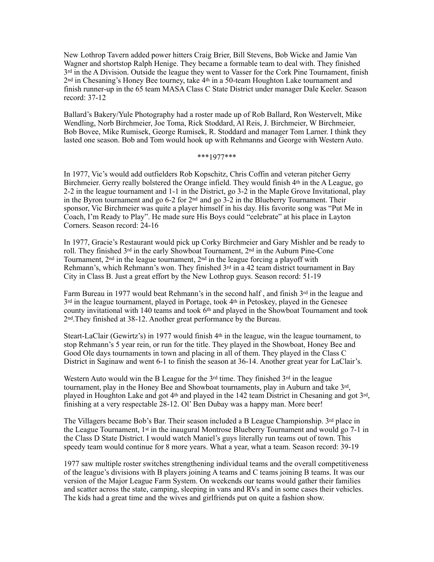New Lothrop Tavern added power hitters Craig Brier, Bill Stevens, Bob Wicke and Jamie Van Wagner and shortstop Ralph Henige. They became a formable team to deal with. They finished  $3<sup>rd</sup>$  in the A Division. Outside the league they went to Vasser for the Cork Pine Tournament, finish 2nd in Chesaning's Honey Bee tourney, take 4th in a 50-team Houghton Lake tournament and finish runner-up in the 65 team MASA Class C State District under manager Dale Keeler. Season record: 37-12

Ballard's Bakery/Yule Photography had a roster made up of Rob Ballard, Ron Westervelt, Mike Wendling, Norb Birchmeier, Joe Toma, Rick Stoddard, Al Reis, J. Birchmeier, W Birchmeier, Bob Bovee, Mike Rumisek, George Rumisek, R. Stoddard and manager Tom Larner. I think they lasted one season. Bob and Tom would hook up with Rehmanns and George with Western Auto.

\*\*\*1977\*\*\*

In 1977, Vic's would add outfielders Rob Kopschitz, Chris Coffin and veteran pitcher Gerry Birchmeier. Gerry really bolstered the Orange infield. They would finish 4<sup>th</sup> in the A League, go 2-2 in the league tournament and 1-1 in the District, go 3-2 in the Maple Grove Invitational, play in the Byron tournament and go  $6-2$  for  $2<sup>nd</sup>$  and go  $3-2$  in the Blueberry Tournament. Their sponsor, Vic Birchmeier was quite a player himself in his day. His favorite song was "Put Me in Coach, I'm Ready to Play". He made sure His Boys could "celebrate" at his place in Layton Corners. Season record: 24-16

In 1977, Gracie's Restaurant would pick up Corky Birchmeier and Gary Mishler and be ready to roll. They finished 3rd in the early Showboat Tournament, 2nd in the Auburn Pine-Cone Tournament, 2nd in the league tournament, 2nd in the league forcing a playoff with Rehmann's, which Rehmann's won. They finished  $3<sup>rd</sup>$  in a 42 team district tournament in Bay City in Class B. Just a great effort by the New Lothrop guys. Season record: 51-19

Farm Bureau in 1977 would beat Rehmann's in the second half, and finish 3rd in the league and 3rd in the league tournament, played in Portage, took 4th in Petoskey, played in the Genesee county invitational with 140 teams and took  $6<sup>th</sup>$  and played in the Showboat Tournament and took 2nd.They finished at 38-12. Another great performance by the Bureau.

Steart-LaClair (Gewirtz's) in 1977 would finish 4th in the league, win the league tournament, to stop Rehmann's 5 year rein, or run for the title. They played in the Showboat, Honey Bee and Good Ole days tournaments in town and placing in all of them. They played in the Class C District in Saginaw and went 6-1 to finish the season at 36-14. Another great year for LaClair's.

Western Auto would win the B League for the  $3<sup>rd</sup>$  time. They finished  $3<sup>rd</sup>$  in the league tournament, play in the Honey Bee and Showboat tournaments, play in Auburn and take 3rd, played in Houghton Lake and got 4th and played in the 142 team District in Chesaning and got 3rd, finishing at a very respectable 28-12. Ol' Ben Dubay was a happy man. More beer!

The Villagers became Bob's Bar. Their season included a B League Championship.  $3^{rd}$  place in the League Tournament, 1st in the inaugural Montrose Blueberry Tournament and would go 7-1 in the Class D State District. I would watch Maniel's guys literally run teams out of town. This speedy team would continue for 8 more years. What a year, what a team. Season record: 39-19

1977 saw multiple roster switches strengthening individual teams and the overall competitiveness of the league's divisions with B players joining A teams and C teams joining B teams. It was our version of the Major League Farm System. On weekends our teams would gather their families and scatter across the state, camping, sleeping in vans and RVs and in some cases their vehicles. The kids had a great time and the wives and girlfriends put on quite a fashion show.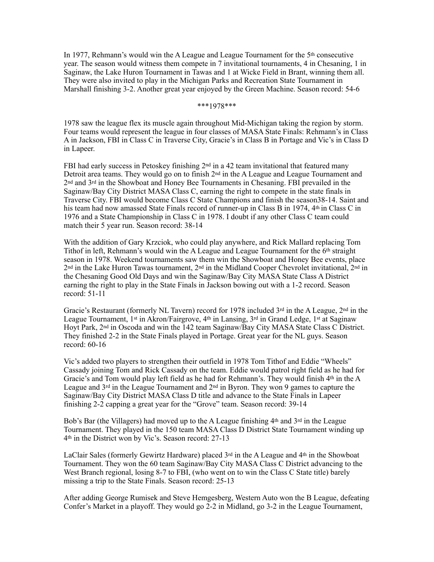In 1977, Rehmann's would win the A League and League Tournament for the 5th consecutive year. The season would witness them compete in 7 invitational tournaments, 4 in Chesaning, 1 in Saginaw, the Lake Huron Tournament in Tawas and 1 at Wicke Field in Brant, winning them all. They were also invited to play in the Michigan Parks and Recreation State Tournament in Marshall finishing 3-2. Another great year enjoyed by the Green Machine. Season record: 54-6

## \*\*\*1978\*\*\*

1978 saw the league flex its muscle again throughout Mid-Michigan taking the region by storm. Four teams would represent the league in four classes of MASA State Finals: Rehmann's in Class A in Jackson, FBI in Class C in Traverse City, Gracie's in Class B in Portage and Vic's in Class D in Lapeer.

FBI had early success in Petoskey finishing  $2<sup>nd</sup>$  in a 42 team invitational that featured many Detroit area teams. They would go on to finish  $2<sup>nd</sup>$  in the A League and League Tournament and 2nd and 3rd in the Showboat and Honey Bee Tournaments in Chesaning. FBI prevailed in the Saginaw/Bay City District MASA Class C, earning the right to compete in the state finals in Traverse City. FBI would become Class C State Champions and finish the season38-14. Saint and his team had now amassed State Finals record of runner-up in Class B in 1974, 4<sup>th</sup> in Class C in 1976 and a State Championship in Class C in 1978. I doubt if any other Class C team could match their 5 year run. Season record: 38-14

With the addition of Gary Krzciok, who could play anywhere, and Rick Mallard replacing Tom Tithof in left, Rehmann's would win the A League and League Tournament for the 6th straight season in 1978. Weekend tournaments saw them win the Showboat and Honey Bee events, place 2nd in the Lake Huron Tawas tournament, 2nd in the Midland Cooper Chevrolet invitational, 2nd in the Chesaning Good Old Days and win the Saginaw/Bay City MASA State Class A District earning the right to play in the State Finals in Jackson bowing out with a 1-2 record. Season record: 51-11

Gracie's Restaurant (formerly NL Tavern) record for 1978 included  $3<sup>rd</sup>$  in the A League,  $2<sup>nd</sup>$  in the League Tournament, 1<sup>st</sup> in Akron/Fairgrove, 4<sup>th</sup> in Lansing, 3<sup>rd</sup> in Grand Ledge, 1<sup>st</sup> at Saginaw Hoyt Park, 2nd in Oscoda and win the 142 team Saginaw/Bay City MASA State Class C District. They finished 2-2 in the State Finals played in Portage. Great year for the NL guys. Season record: 60-16

Vic's added two players to strengthen their outfield in 1978 Tom Tithof and Eddie "Wheels" Cassady joining Tom and Rick Cassady on the team. Eddie would patrol right field as he had for Gracie's and Tom would play left field as he had for Rehmann's. They would finish  $4<sup>th</sup>$  in the A League and  $3<sup>rd</sup>$  in the League Tournament and  $2<sup>nd</sup>$  in Byron. They won 9 games to capture the Saginaw/Bay City District MASA Class D title and advance to the State Finals in Lapeer finishing 2-2 capping a great year for the "Grove" team. Season record: 39-14

Bob's Bar (the Villagers) had moved up to the A League finishing 4<sup>th</sup> and 3<sup>rd</sup> in the League Tournament. They played in the 150 team MASA Class D District State Tournament winding up 4th in the District won by Vic's. Season record: 27-13

LaClair Sales (formerly Gewirtz Hardware) placed  $3<sup>rd</sup>$  in the A League and  $4<sup>th</sup>$  in the Showboat Tournament. They won the 60 team Saginaw/Bay City MASA Class C District advancing to the West Branch regional, losing 8-7 to FBI, (who went on to win the Class C State title) barely missing a trip to the State Finals. Season record: 25-13

After adding George Rumisek and Steve Hemgesberg, Western Auto won the B League, defeating Confer's Market in a playoff. They would go 2-2 in Midland, go 3-2 in the League Tournament,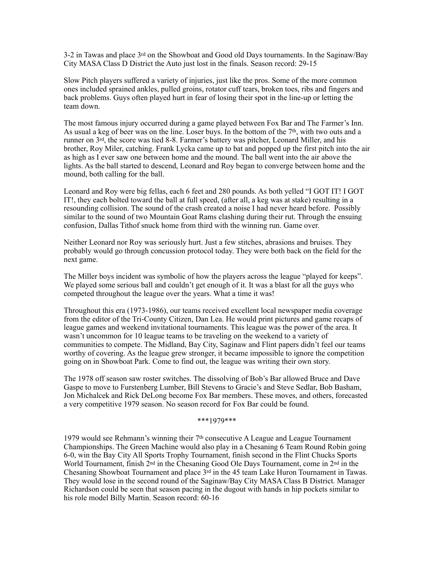3-2 in Tawas and place 3rd on the Showboat and Good old Days tournaments. In the Saginaw/Bay City MASA Class D District the Auto just lost in the finals. Season record: 29-15

Slow Pitch players suffered a variety of injuries, just like the pros. Some of the more common ones included sprained ankles, pulled groins, rotator cuff tears, broken toes, ribs and fingers and back problems. Guys often played hurt in fear of losing their spot in the line-up or letting the team down.

The most famous injury occurred during a game played between Fox Bar and The Farmer's Inn. As usual a keg of beer was on the line. Loser buys. In the bottom of the  $7<sup>th</sup>$ , with two outs and a runner on 3rd, the score was tied 8-8. Farmer's battery was pitcher, Leonard Miller, and his brother, Roy Miler, catching. Frank Lycka came up to bat and popped up the first pitch into the air as high as I ever saw one between home and the mound. The ball went into the air above the lights. As the ball started to descend, Leonard and Roy began to converge between home and the mound, both calling for the ball.

Leonard and Roy were big fellas, each 6 feet and 280 pounds. As both yelled "I GOT IT! I GOT IT!, they each bolted toward the ball at full speed, (after all, a keg was at stake) resulting in a resounding collision. The sound of the crash created a noise I had never heard before. Possibly similar to the sound of two Mountain Goat Rams clashing during their rut. Through the ensuing confusion, Dallas Tithof snuck home from third with the winning run. Game over.

Neither Leonard nor Roy was seriously hurt. Just a few stitches, abrasions and bruises. They probably would go through concussion protocol today. They were both back on the field for the next game.

The Miller boys incident was symbolic of how the players across the league "played for keeps". We played some serious ball and couldn't get enough of it. It was a blast for all the guys who competed throughout the league over the years. What a time it was!

Throughout this era (1973-1986), our teams received excellent local newspaper media coverage from the editor of the Tri-County Citizen, Dan Lea. He would print pictures and game recaps of league games and weekend invitational tournaments. This league was the power of the area. It wasn't uncommon for 10 league teams to be traveling on the weekend to a variety of communities to compete. The Midland, Bay City, Saginaw and Flint papers didn't feel our teams worthy of covering. As the league grew stronger, it became impossible to ignore the competition going on in Showboat Park. Come to find out, the league was writing their own story.

The 1978 off season saw roster switches. The dissolving of Bob's Bar allowed Bruce and Dave Gaspe to move to Furstenberg Lumber, Bill Stevens to Gracie's and Steve Sedlar, Bob Basham, Jon Michalcek and Rick DeLong become Fox Bar members. These moves, and others, forecasted a very competitive 1979 season. No season record for Fox Bar could be found.

#### \*\*\*1979\*\*\*

1979 would see Rehmann's winning their  $7<sup>th</sup>$  consecutive A League and League Tournament Championships. The Green Machine would also play in a Chesaning 6 Team Round Robin going 6-0, win the Bay City All Sports Trophy Tournament, finish second in the Flint Chucks Sports World Tournament, finish  $2<sup>nd</sup>$  in the Chesaning Good Ole Days Tournament, come in  $2<sup>nd</sup>$  in the Chesaning Showboat Tournament and place 3rd in the 45 team Lake Huron Tournament in Tawas. They would lose in the second round of the Saginaw/Bay City MASA Class B District. Manager Richardson could be seen that season pacing in the dugout with hands in hip pockets similar to his role model Billy Martin. Season record: 60-16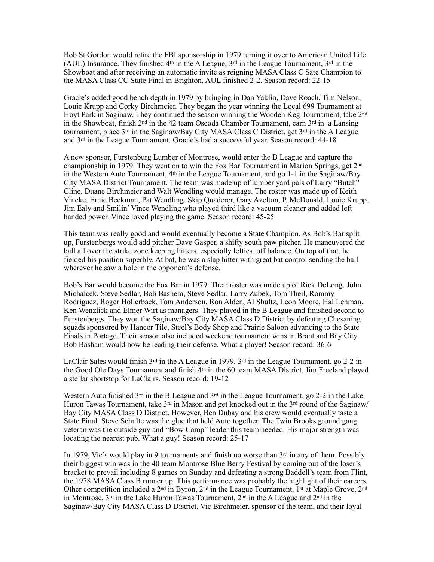Bob St.Gordon would retire the FBI sponsorship in 1979 turning it over to American United Life (AUL) Insurance. They finished 4<sup>th</sup> in the A League,  $3<sup>rd</sup>$  in the League Tournament,  $3<sup>rd</sup>$  in the Showboat and after receiving an automatic invite as reigning MASA Class C Sate Champion to the MASA Class CC State Final in Brighton, AUL finished 2-2. Season record: 22-15

Gracie's added good bench depth in 1979 by bringing in Dan Yaklin, Dave Roach, Tim Nelson, Louie Krupp and Corky Birchmeier. They began the year winning the Local 699 Tournament at Hoyt Park in Saginaw. They continued the season winning the Wooden Keg Tournament, take 2nd in the Showboat, finish  $2<sup>nd</sup>$  in the 42 team Oscoda Chamber Tournament, earn  $3<sup>rd</sup>$  in a Lansing tournament, place  $3^{rd}$  in the Saginaw/Bay City MASA Class C District, get  $3^{rd}$  in the A League and 3rd in the League Tournament. Gracie's had a successful year. Season record: 44-18

A new sponsor, Furstenburg Lumber of Montrose, would enter the B League and capture the championship in 1979. They went on to win the Fox Bar Tournament in Marion Springs, get 2nd in the Western Auto Tournament,  $4<sup>th</sup>$  in the League Tournament, and go 1-1 in the Saginaw/Bay City MASA District Tournament. The team was made up of lumber yard pals of Larry "Butch" Cline. Duane Birchmeier and Walt Wendling would manage. The roster was made up of Keith Vincke, Ernie Beckman, Pat Wendling, Skip Quaderer, Gary Azelton, P. McDonald, Louie Krupp, Jim Ealy and Smilin' Vince Wendling who played third like a vacuum cleaner and added left handed power. Vince loved playing the game. Season record: 45-25

This team was really good and would eventually become a State Champion. As Bob's Bar split up, Furstenbergs would add pitcher Dave Gasper, a shifty south paw pitcher. He maneuvered the ball all over the strike zone keeping hitters, especially lefties, off balance. On top of that, he fielded his position superbly. At bat, he was a slap hitter with great bat control sending the ball wherever he saw a hole in the opponent's defense.

Bob's Bar would become the Fox Bar in 1979. Their roster was made up of Rick DeLong, John Michalcek, Steve Sedlar, Bob Bashem, Steve Sedlar, Larry Zubek, Tom Theil, Rommy Rodriguez, Roger Hollerback, Tom Anderson, Ron Alden, Al Shultz, Leon Moore, Hal Lehman, Ken Wenzlick and Elmer Wirt as managers. They played in the B League and finished second to Furstenbergs. They won the Saginaw/Bay City MASA Class D District by defeating Chesaning squads sponsored by Hancor Tile, Steel's Body Shop and Prairie Saloon advancing to the State Finals in Portage. Their season also included weekend tournament wins in Brant and Bay City. Bob Basham would now be leading their defense. What a player! Season record: 36-6

LaClair Sales would finish  $3<sup>rd</sup>$  in the A League in 1979,  $3<sup>rd</sup>$  in the League Tournament, go 2-2 in the Good Ole Days Tournament and finish 4th in the 60 team MASA District. Jim Freeland played a stellar shortstop for LaClairs. Season record: 19-12

Western Auto finished  $3<sup>rd</sup>$  in the B League and  $3<sup>rd</sup>$  in the League Tournament, go 2-2 in the Lake Huron Tawas Tournament, take  $3^{rd}$  in Mason and get knocked out in the  $3^{rd}$  round of the Saginaw/ Bay City MASA Class D District. However, Ben Dubay and his crew would eventually taste a State Final. Steve Schulte was the glue that held Auto together. The Twin Brooks ground gang veteran was the outside guy and "Bow Camp" leader this team needed. His major strength was locating the nearest pub. What a guy! Season record: 25-17

In 1979, Vic's would play in 9 tournaments and finish no worse than  $3<sup>rd</sup>$  in any of them. Possibly their biggest win was in the 40 team Montrose Blue Berry Festival by coming out of the loser's bracket to prevail including 8 games on Sunday and defeating a strong Baddell's team from Flint, the 1978 MASA Class B runner up. This performance was probably the highlight of their careers. Other competition included a  $2<sup>nd</sup>$  in Byron,  $2<sup>nd</sup>$  in the League Tournament, 1<sup>st</sup> at Maple Grove,  $2<sup>nd</sup>$ in Montrose,  $3^{rd}$  in the Lake Huron Tawas Tournament,  $2^{nd}$  in the A League and  $2^{nd}$  in the Saginaw/Bay City MASA Class D District. Vic Birchmeier, sponsor of the team, and their loyal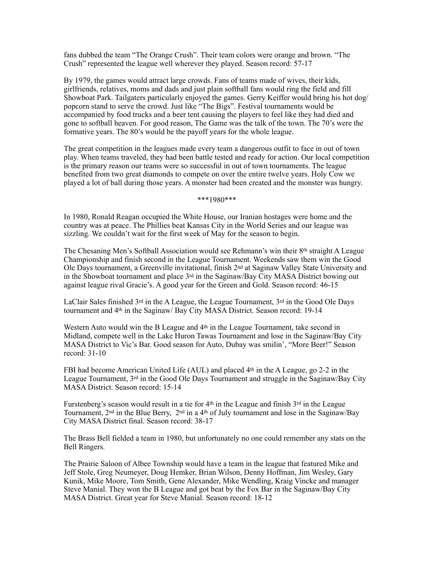fans dubbed the team "The Orange Crush". Their team colors were orange and brown. "The Crush" represented the league well wherever they played. Season record: 57-17

By 1979, the games would attract large crowds. Fans of teams made of wives, their kids, girlfriends, relatives, moms and dads and just plain softball fans would ring the field and fill Showboat Park. Tailgaters particularly enjoyed the games. Gerry Keiffer would bring his hot dog/ popcorn stand to serve the crowd. Just like "The Bigs". Festival tournaments would be accompanied by food trucks and a beer tent causing the players to feel like they had died and gone to softball heaven. For good reason, The Game was the talk of the town. The 70's were the formative years. The 80's would be the payoff years for the whole league.

The great competition in the leagues made every team a dangerous outfit to face in out of town play. When teams traveled, they had been battle tested and ready for action. Our local competition is the primary reason our teams were so successful in out of town tournaments. The league benefited from two great diamonds to compete on over the entire twelve years. Holy Cow we played a lot of ball during those years. A monster had been created and the monster was hungry.

\*\*\*1980\*\*\*

In 1980, Ronald Reagan occupied the White House, our Iranian hostages were home and the country was at peace. The Phillies beat Kansas City in the World Series and our league was sizzling. We couldn't wait for the first week of May for the season to begin.

The Chesaning Men's Softball Association would see Rehmann's win their 8th straight A League Championship and finish second in the League Tournament. Weekends saw them win the Good Ole Days tournament, a Greenville invitational, finish 2nd at Saginaw Valley State University and in the Showboat tournament and place 3rd in the Saginaw/Bay City MASA District bowing out against league rival Gracie's. A good year for the Green and Gold. Season record: 46-15

LaClair Sales finished  $3<sup>rd</sup>$  in the A League, the League Tournament,  $3<sup>rd</sup>$  in the Good Ole Days tournament and 4th in the Saginaw/ Bay City MASA District. Season record: 19-14

Western Auto would win the B League and 4<sup>th</sup> in the League Tournament, take second in Midland, compete well in the Lake Huron Tawas Tournament and lose in the Saginaw/Bay City MASA District to Vic's Bar. Good season for Auto, Dubay was smilin', "More Beer!" Season record: 31-10

FBI had become American United Life (AUL) and placed  $4<sup>th</sup>$  in the A League, go 2-2 in the League Tournament,  $3^{rd}$  in the Good Ole Days Tournament and struggle in the Saginaw/Bay City MASA District. Season record: 15-14

Furstenberg's season would result in a tie for  $4<sup>th</sup>$  in the League and finish  $3<sup>rd</sup>$  in the League Tournament,  $2<sup>nd</sup>$  in the Blue Berry,  $2<sup>nd</sup>$  in a 4<sup>th</sup> of July tournament and lose in the Saginaw/Bay City MASA District final. Season record: 38-17

The Brass Bell fielded a team in 1980, but unfortunately no one could remember any stats on the Bell Ringers.

The Prairie Saloon of Albee Township would have a team in the league that featured Mike and Jeff Stole, Greg Neumeyer, Doug Hemker, Brian Wilson, Denny Hoffman, Jim Wesley, Gary Kunik, Mike Moore, Tom Smith, Gene Alexander, Mike Wendling, Kraig Vincke and manager Steve Manial. They won the B League and got beat by the Fox Bar in the Saginaw/Bay City MASA District. Great year for Steve Manial. Season record: 18-12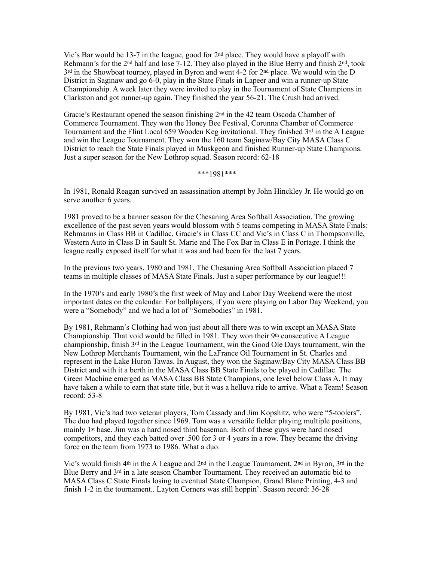Vic's Bar would be 13-7 in the league, good for 2nd place. They would have a playoff with Rehmann's for the 2<sup>nd</sup> half and lose 7-12. They also played in the Blue Berry and finish 2<sup>nd</sup>, took  $3<sup>rd</sup>$  in the Showboat tourney, played in Byron and went 4-2 for  $2<sup>nd</sup>$  place. We would win the D District in Saginaw and go 6-0, play in the State Finals in Lapeer and win a runner-up State Championship. A week later they were invited to play in the Tournament of State Champions in Clarkston and got runner-up again. They finished the year 56-21. The Crush had arrived.

Gracie's Restaurant opened the season finishing  $2<sup>nd</sup>$  in the 42 team Oscoda Chamber of Commerce Tournament. They won the Honey Bee Festival, Corunna Chamber of Commerce Tournament and the Flint Local 659 Wooden Keg invitational. They finished 3rd in the A League and win the League Tournament. They won the 160 team Saginaw/Bay City MASA Class C District to reach the State Finals played in Muskgeon and finished Runner-up State Champions. Just a super season for the New Lothrop squad. Season record: 62-18

\*\*\*1981\*\*\*

In 1981, Ronald Reagan survived an assassination attempt by John Hinckley Jr. He would go on serve another 6 years.

1981 proved to be a banner season for the Chesaning Area Softball Association. The growing excellence of the past seven years would blossom with 5 teams competing in MASA State Finals: Rehmanns in Class BB in Cadillac, Gracie's in Class CC and Vic's in Class C in Thompsonville, Western Auto in Class D in Sault St. Marie and The Fox Bar in Class E in Portage. I think the league really exposed itself for what it was and had been for the last 7 years.

In the previous two years, 1980 and 1981, The Chesaning Area Softball Association placed 7 teams in multiple classes of MASA State Finals. Just a super performance by our league!!!

In the 1970's and early 1980's the first week of May and Labor Day Weekend were the most important dates on the calendar. For ballplayers, if you were playing on Labor Day Weekend, you were a "Somebody" and we had a lot of "Somebodies" in 1981.

By 1981, Rehmann's Clothing had won just about all there was to win except an MASA State Championship. That void would be filled in 1981. They won their 9th consecutive A League championship, finish 3rd in the League Tournament, win the Good Ole Days tournament, win the New Lothrop Merchants Tournament, win the LaFrance Oil Tournament in St. Charles and represent in the Lake Huron Tawas. In August, they won the Saginaw/Bay City MASA Class BB District and with it a berth in the MASA Class BB State Finals to be played in Cadillac. The Green Machine emerged as MASA Class BB State Champions, one level below Class A. It may have taken a while to earn that state title, but it was a helluva ride to arrive. What a Team! Season record: 53-8

By 1981, Vic's had two veteran players, Tom Cassady and Jim Kopshitz, who were "5-toolers". The duo had played together since 1969. Tom was a versatile fielder playing multiple positions, mainly 1st base. Jim was a hard nosed third baseman. Both of these guys were hard nosed competitors, and they each batted over .500 for 3 or 4 years in a row. They became the driving force on the team from 1973 to 1986. What a duo.

Vic's would finish 4<sup>th</sup> in the A League and  $2<sup>nd</sup>$  in the League Tournament,  $2<sup>nd</sup>$  in Byron,  $3<sup>rd</sup>$  in the Blue Berry and 3rd in a late season Chamber Tournament. They received an automatic bid to MASA Class C State Finals losing to eventual State Champion, Grand Blanc Printing, 4-3 and finish 1-2 in the tournament.. Layton Corners was still hoppin'. Season record: 36-28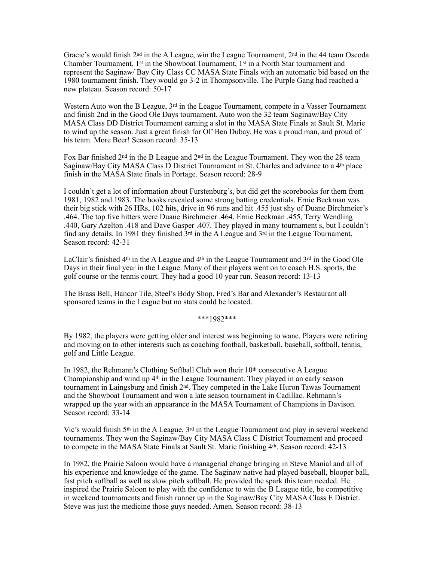Gracie's would finish 2nd in the A League, win the League Tournament, 2nd in the 44 team Oscoda Chamber Tournament, 1st in the Showboat Tournament, 1st in a North Star tournament and represent the Saginaw/ Bay City Class CC MASA State Finals with an automatic bid based on the 1980 tournament finish. They would go 3-2 in Thompsonville. The Purple Gang had reached a new plateau. Season record: 50-17

Western Auto won the B League, 3<sup>rd</sup> in the League Tournament, compete in a Vasser Tournament and finish 2nd in the Good Ole Days tournament. Auto won the 32 team Saginaw/Bay City MASA Class DD District Tournament earning a slot in the MASA State Finals at Sault St. Marie to wind up the season. Just a great finish for Ol' Ben Dubay. He was a proud man, and proud of his team. More Beer! Season record: 35-13

Fox Bar finished 2<sup>nd</sup> in the B League and 2<sup>nd</sup> in the League Tournament. They won the 28 team Saginaw/Bay City MASA Class D District Tournament in St. Charles and advance to a 4th place finish in the MASA State finals in Portage. Season record: 28-9

I couldn't get a lot of information about Furstenburg's, but did get the scorebooks for them from 1981, 1982 and 1983. The books revealed some strong batting credentials. Ernie Beckman was their big stick with 26 HRs, 102 hits, drive in 96 runs and hit .455 just shy of Duane Birchmeier's .464. The top five hitters were Duane Birchmeier .464, Ernie Beckman .455, Terry Wendling .440, Gary Azelton .418 and Dave Gasper .407. They played in many tournament s, but I couldn't find any details. In 1981 they finished  $3<sup>rd</sup>$  in the A League and  $3<sup>rd</sup>$  in the League Tournament. Season record: 42-31

LaClair's finished  $4<sup>th</sup>$  in the A League and  $4<sup>th</sup>$  in the League Tournament and  $3<sup>rd</sup>$  in the Good Ole Days in their final year in the League. Many of their players went on to coach H.S. sports, the golf course or the tennis court. They had a good 10 year run. Season record: 13-13

The Brass Bell, Hancor Tile, Steel's Body Shop, Fred's Bar and Alexander's Restaurant all sponsored teams in the League but no stats could be located.

\*\*\*1982\*\*\*

By 1982, the players were getting older and interest was beginning to wane. Players were retiring and moving on to other interests such as coaching football, basketball, baseball, softball, tennis, golf and Little League.

In 1982, the Rehmann's Clothing Softball Club won their  $10<sup>th</sup>$  consecutive A League Championship and wind up  $4<sup>th</sup>$  in the League Tournament. They played in an early season tournament in Laingsburg and finish 2nd. They competed in the Lake Huron Tawas Tournament and the Showboat Tournament and won a late season tournament in Cadillac. Rehmann's wrapped up the year with an appearance in the MASA Tournament of Champions in Davison. Season record: 33-14

Vic's would finish 5th in the A League, 3rd in the League Tournament and play in several weekend tournaments. They won the Saginaw/Bay City MASA Class C District Tournament and proceed to compete in the MASA State Finals at Sault St. Marie finishing 4th. Season record: 42-13

In 1982, the Prairie Saloon would have a managerial change bringing in Steve Manial and all of his experience and knowledge of the game. The Saginaw native had played baseball, blooper ball, fast pitch softball as well as slow pitch softball. He provided the spark this team needed. He inspired the Prairie Saloon to play with the confidence to win the B League title, be competitive in weekend tournaments and finish runner up in the Saginaw/Bay City MASA Class E District. Steve was just the medicine those guys needed. Amen. Season record: 38-13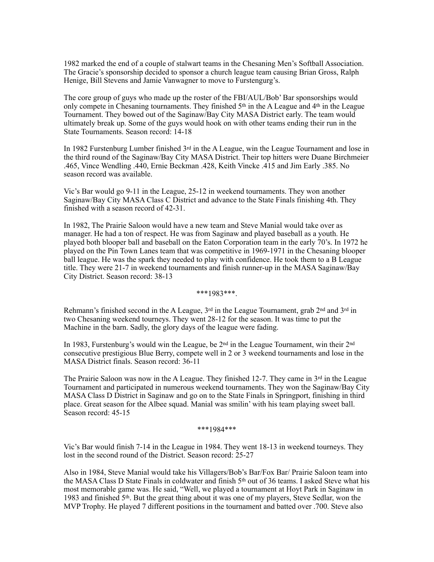1982 marked the end of a couple of stalwart teams in the Chesaning Men's Softball Association. The Gracie's sponsorship decided to sponsor a church league team causing Brian Gross, Ralph Henige, Bill Stevens and Jamie Vanwagner to move to Furstengurg's.

The core group of guys who made up the roster of the FBI/AUL/Bob' Bar sponsorships would only compete in Chesaning tournaments. They finished 5th in the A League and 4th in the League Tournament. They bowed out of the Saginaw/Bay City MASA District early. The team would ultimately break up. Some of the guys would hook on with other teams ending their run in the State Tournaments. Season record: 14-18

In 1982 Furstenburg Lumber finished 3rd in the A League, win the League Tournament and lose in the third round of the Saginaw/Bay City MASA District. Their top hitters were Duane Birchmeier .465, Vince Wendling .440, Ernie Beckman .428, Keith Vincke .415 and Jim Early .385. No season record was available.

Vic's Bar would go 9-11 in the League, 25-12 in weekend tournaments. They won another Saginaw/Bay City MASA Class C District and advance to the State Finals finishing 4th. They finished with a season record of 42-31.

In 1982, The Prairie Saloon would have a new team and Steve Manial would take over as manager. He had a ton of respect. He was from Saginaw and played baseball as a youth. He played both blooper ball and baseball on the Eaton Corporation team in the early 70's. In 1972 he played on the Pin Town Lanes team that was competitive in 1969-1971 in the Chesaning blooper ball league. He was the spark they needed to play with confidence. He took them to a B League title. They were 21-7 in weekend tournaments and finish runner-up in the MASA Saginaw/Bay City District. Season record: 38-13

\*\*\*1983\*\*\*.

Rehmann's finished second in the A League,  $3^{rd}$  in the League Tournament, grab  $2^{nd}$  and  $3^{rd}$  in two Chesaning weekend tourneys. They went 28-12 for the season. It was time to put the Machine in the barn. Sadly, the glory days of the league were fading.

In 1983, Furstenburg's would win the League, be 2nd in the League Tournament, win their 2nd consecutive prestigious Blue Berry, compete well in 2 or 3 weekend tournaments and lose in the MASA District finals. Season record: 36-11

The Prairie Saloon was now in the A League. They finished 12-7. They came in 3rd in the League Tournament and participated in numerous weekend tournaments. They won the Saginaw/Bay City MASA Class D District in Saginaw and go on to the State Finals in Springport, finishing in third place. Great season for the Albee squad. Manial was smilin' with his team playing sweet ball. Season record: 45-15

\*\*\*1984\*\*\*

Vic's Bar would finish 7-14 in the League in 1984. They went 18-13 in weekend tourneys. They lost in the second round of the District. Season record: 25-27

Also in 1984, Steve Manial would take his Villagers/Bob's Bar/Fox Bar/ Prairie Saloon team into the MASA Class D State Finals in coldwater and finish 5th out of 36 teams. I asked Steve what his most memorable game was. He said, "Well, we played a tournament at Hoyt Park in Saginaw in 1983 and finished  $5<sup>th</sup>$ . But the great thing about it was one of my players, Steve Sedlar, won the MVP Trophy. He played 7 different positions in the tournament and batted over .700. Steve also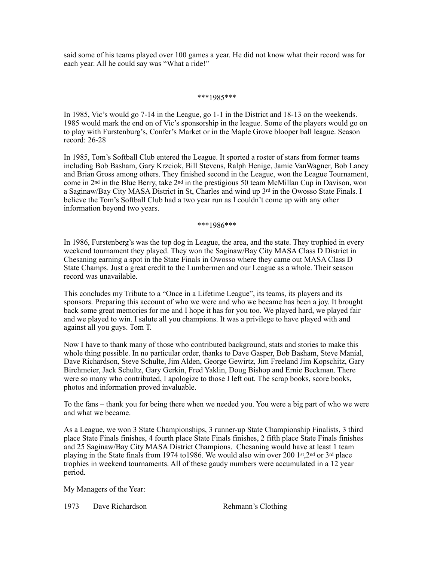said some of his teams played over 100 games a year. He did not know what their record was for each year. All he could say was "What a ride!"

#### \*\*\*1985\*\*\*

In 1985, Vic's would go 7-14 in the League, go 1-1 in the District and 18-13 on the weekends. 1985 would mark the end on of Vic's sponsorship in the league. Some of the players would go on to play with Furstenburg's, Confer's Market or in the Maple Grove blooper ball league. Season record: 26-28

In 1985, Tom's Softball Club entered the League. It sported a roster of stars from former teams including Bob Basham, Gary Krzciok, Bill Stevens, Ralph Henige, Jamie VanWagner, Bob Laney and Brian Gross among others. They finished second in the League, won the League Tournament, come in  $2<sup>nd</sup>$  in the Blue Berry, take  $2<sup>nd</sup>$  in the prestigious 50 team McMillan Cup in Davison, won a Saginaw/Bay City MASA District in St, Charles and wind up  $3<sup>rd</sup>$  in the Owosso State Finals. I believe the Tom's Softball Club had a two year run as I couldn't come up with any other information beyond two years.

\*\*\*1986\*\*\*

In 1986, Furstenberg's was the top dog in League, the area, and the state. They trophied in every weekend tournament they played. They won the Saginaw/Bay City MASA Class D District in Chesaning earning a spot in the State Finals in Owosso where they came out MASA Class D State Champs. Just a great credit to the Lumbermen and our League as a whole. Their season record was unavailable.

This concludes my Tribute to a "Once in a Lifetime League", its teams, its players and its sponsors. Preparing this account of who we were and who we became has been a joy. It brought back some great memories for me and I hope it has for you too. We played hard, we played fair and we played to win. I salute all you champions. It was a privilege to have played with and against all you guys. Tom T.

Now I have to thank many of those who contributed background, stats and stories to make this whole thing possible. In no particular order, thanks to Dave Gasper, Bob Basham, Steve Manial, Dave Richardson, Steve Schulte, Jim Alden, George Gewirtz, Jim Freeland Jim Kopschitz, Gary Birchmeier, Jack Schultz, Gary Gerkin, Fred Yaklin, Doug Bishop and Ernie Beckman. There were so many who contributed, I apologize to those I left out. The scrap books, score books, photos and information proved invaluable.

To the fans – thank you for being there when we needed you. You were a big part of who we were and what we became.

As a League, we won 3 State Championships, 3 runner-up State Championship Finalists, 3 third place State Finals finishes, 4 fourth place State Finals finishes, 2 fifth place State Finals finishes and 25 Saginaw/Bay City MASA District Champions. Chesaning would have at least 1 team playing in the State finals from 1974 to1986. We would also win over 200 1st,2nd or 3rd place trophies in weekend tournaments. All of these gaudy numbers were accumulated in a  $12$  year period.

My Managers of the Year:

1973 Dave Richardson Rehmann's Clothing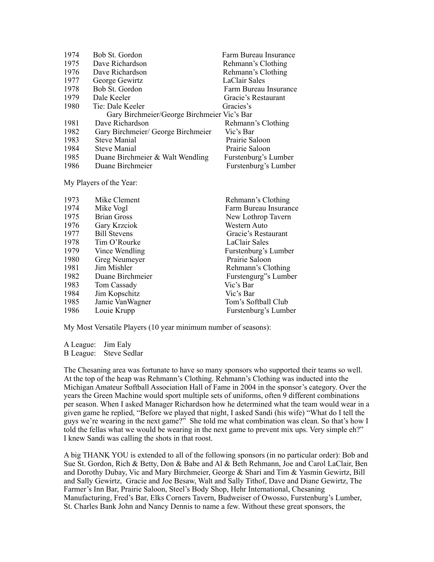| 1974                                        | Bob St. Gordon                     | Farm Bureau Insurance |  |  |
|---------------------------------------------|------------------------------------|-----------------------|--|--|
| 1975                                        | Dave Richardson                    | Rehmann's Clothing    |  |  |
| 1976                                        | Dave Richardson                    | Rehmann's Clothing    |  |  |
| 1977                                        | George Gewirtz                     | LaClair Sales         |  |  |
| 1978                                        | Bob St. Gordon                     | Farm Bureau Insurance |  |  |
| 1979                                        | Dale Keeler                        | Gracie's Restaurant   |  |  |
| 1980                                        | Tie: Dale Keeler                   | Gracies's             |  |  |
| Gary Birchmeier/George Birchmeier Vic's Bar |                                    |                       |  |  |
| 1981                                        | Dave Richardson                    | Rehmann's Clothing    |  |  |
| 1982                                        | Gary Birchmeier/ George Birchmeier | Vic's Bar             |  |  |
| 1983                                        | <b>Steve Manial</b>                | Prairie Saloon        |  |  |
| 1984                                        | Steve Manial                       | Prairie Saloon        |  |  |
| 1985                                        | Duane Birchmeier & Walt Wendling   | Furstenburg's Lumber  |  |  |
| 1986                                        | Duane Birchmeier                   | Furstenburg's Lumber  |  |  |

My Players of the Year:

| 1973 | Mike Clement        | Rehmann's Clothing    |
|------|---------------------|-----------------------|
| 1974 | Mike Vogl           | Farm Bureau Insurance |
| 1975 | <b>Brian Gross</b>  | New Lothrop Tavern    |
| 1976 | Gary Krzciok        | Western Auto          |
| 1977 | <b>Bill Stevens</b> | Gracie's Restaurant   |
| 1978 | Tim O'Rourke        | LaClair Sales         |
| 1979 | Vince Wendling      | Furstenburg's Lumber  |
| 1980 | Greg Neumeyer       | Prairie Saloon        |
| 1981 | Jim Mishler         | Rehmann's Clothing    |
| 1982 | Duane Birchmeier    | Furstengurg"s Lumber  |
| 1983 | Tom Cassady         | Vic's Bar             |
| 1984 | Jim Kopschitz       | Vic's Bar             |
| 1985 | Jamie Van Wagner    | Tom's Softball Club   |
| 1986 | Louie Krupp         | Furstenburg's Lumber  |
|      |                     |                       |

My Most Versatile Players (10 year minimum number of seasons):

A League: Jim Ealy B League: Steve Sedlar

The Chesaning area was fortunate to have so many sponsors who supported their teams so well. At the top of the heap was Rehmann's Clothing. Rehmann's Clothing was inducted into the Michigan Amateur Softball Association Hall of Fame in 2004 in the sponsor's category. Over the years the Green Machine would sport multiple sets of uniforms, often 9 different combinations per season. When I asked Manager Richardson how he determined what the team would wear in a given game he replied, "Before we played that night, I asked Sandi (his wife) "What do I tell the guys we're wearing in the next game?" She told me what combination was clean. So that's how I told the fellas what we would be wearing in the next game to prevent mix ups. Very simple eh?" I knew Sandi was calling the shots in that roost.

A big THANK YOU is extended to all of the following sponsors (in no particular order): Bob and Sue St. Gordon, Rich & Betty, Don & Babe and Al & Beth Rehmann, Joe and Carol LaClair, Ben and Dorothy Dubay, Vic and Mary Birchmeier, George & Shari and Tim & Yasmin Gewirtz, Bill and Sally Gewirtz, Gracie and Joe Besaw, Walt and Sally Tithof, Dave and Diane Gewirtz, The Farmer's Inn Bar, Prairie Saloon, Steel's Body Shop, Hehr International, Chesaning Manufacturing, Fred's Bar, Elks Corners Tavern, Budweiser of Owosso, Furstenburg's Lumber, St. Charles Bank John and Nancy Dennis to name a few. Without these great sponsors, the